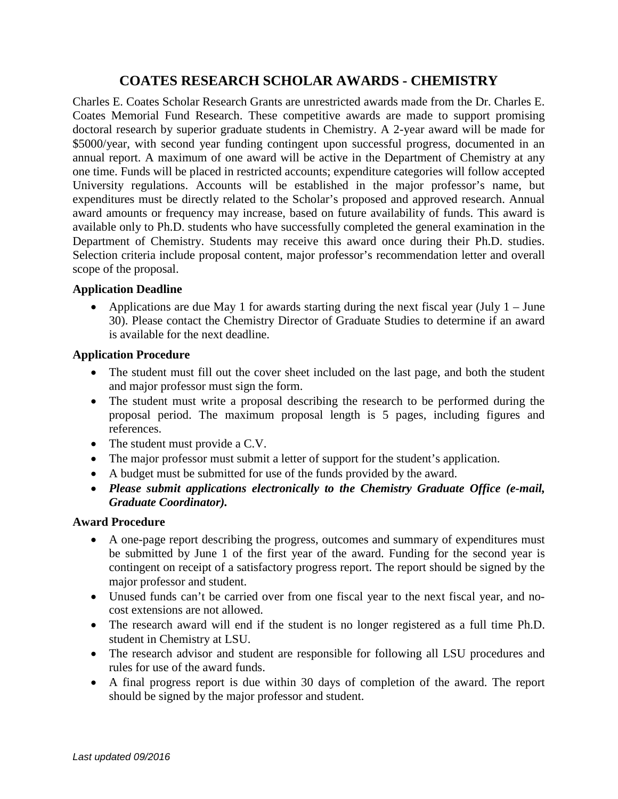# **COATES RESEARCH SCHOLAR AWARDS - CHEMISTRY**

Charles E. Coates Scholar Research Grants are unrestricted awards made from the Dr. Charles E. Coates Memorial Fund Research. These competitive awards are made to support promising doctoral research by superior graduate students in Chemistry. A 2-year award will be made for \$5000/year, with second year funding contingent upon successful progress, documented in an annual report. A maximum of one award will be active in the Department of Chemistry at any one time. Funds will be placed in restricted accounts; expenditure categories will follow accepted University regulations. Accounts will be established in the major professor's name, but expenditures must be directly related to the Scholar's proposed and approved research. Annual award amounts or frequency may increase, based on future availability of funds. This award is available only to Ph.D. students who have successfully completed the general examination in the Department of Chemistry. Students may receive this award once during their Ph.D. studies. Selection criteria include proposal content, major professor's recommendation letter and overall scope of the proposal.

### **Application Deadline**

• Applications are due May 1 for awards starting during the next fiscal year (July  $1 -$  June 30). Please contact the Chemistry Director of Graduate Studies to determine if an award is available for the next deadline.

### **Application Procedure**

- The student must fill out the cover sheet included on the last page, and both the student and major professor must sign the form.
- The student must write a proposal describing the research to be performed during the proposal period. The maximum proposal length is 5 pages, including figures and references.
- The student must provide a C.V.
- The major professor must submit a letter of support for the student's application.
- A budget must be submitted for use of the funds provided by the award.
- *Please submit applications electronically to the Chemistry Graduate Office (e-mail, Graduate Coordinator).*

## **Award Procedure**

- A one-page report describing the progress, outcomes and summary of expenditures must be submitted by June 1 of the first year of the award. Funding for the second year is contingent on receipt of a satisfactory progress report. The report should be signed by the major professor and student.
- Unused funds can't be carried over from one fiscal year to the next fiscal year, and nocost extensions are not allowed.
- The research award will end if the student is no longer registered as a full time Ph.D. student in Chemistry at LSU.
- The research advisor and student are responsible for following all LSU procedures and rules for use of the award funds.
- A final progress report is due within 30 days of completion of the award. The report should be signed by the major professor and student.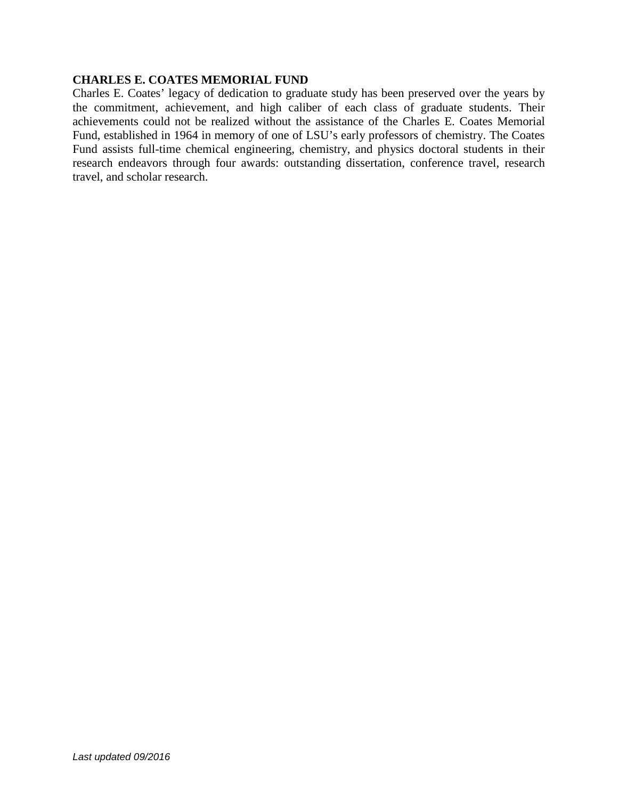#### **CHARLES E. COATES MEMORIAL FUND**

Charles E. Coates' legacy of dedication to graduate study has been preserved over the years by the commitment, achievement, and high caliber of each class of graduate students. Their achievements could not be realized without the assistance of the Charles E. Coates Memorial Fund, established in 1964 in memory of one of LSU's early professors of chemistry. The Coates Fund assists full-time chemical engineering, chemistry, and physics doctoral students in their research endeavors through four awards: outstanding dissertation, conference travel, research travel, and scholar research.